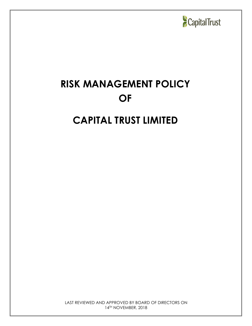

# **RISK MANAGEMENT POLICY OF**

## **CAPITAL TRUST LIMITED**

LAST REVIEWED AND APPROVED BY BOARD OF DIRECTORS ON 14 TH NOVEMBER, 2018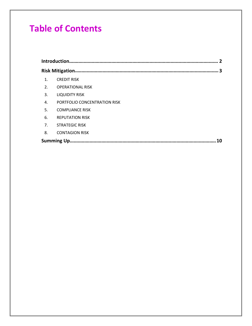## **Table of Contents**

| 1. | <b>CREDIT RISK</b>           |  |  |
|----|------------------------------|--|--|
| 2. | <b>OPERATIONAL RISK</b>      |  |  |
| 3. | <b>LIQUIDITY RISK</b>        |  |  |
| 4. | PORTFOLIO CONCENTRATION RISK |  |  |
| 5. | <b>COMPLIANCE RISK</b>       |  |  |
| 6. | <b>REPUTATION RISK</b>       |  |  |
| 7. | <b>STRATEGIC RISK</b>        |  |  |
| 8. | <b>CONTAGION RISK</b>        |  |  |
|    |                              |  |  |
|    |                              |  |  |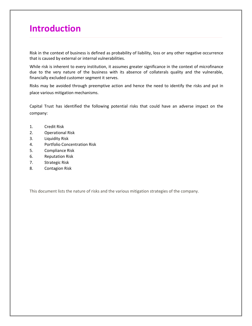## <span id="page-2-0"></span>**Introduction**

Risk in the context of business is defined as [probability](http://www.businessdictionary.com/definition/probability.html) of [liability,](http://www.businessdictionary.com/definition/liability.html) [loss](http://www.businessdictionary.com/definition/capital-gain-loss-holding-period.html) or any other negative occurrence that is caused by external or internal [vulnerabilities.](http://www.businessdictionary.com/definition/vulnerability.html)

While risk is inherent to every institution, it assumes greater significance in the context of microfinance due to the very nature of the business with its absence of collaterals quality and the vulnerable, financially excluded customer segment it serves.

Risks may be avoided through preemptive [action](http://www.businessdictionary.com/definition/action.html) and hence the need to identify the risks and put in place various mitigation mechanisms.

Capital Trust has identified the following potential risks that could have an adverse impact on the company:

- 1. Credit Risk
- 2. Operational Risk
- 3. Liquidity Risk
- 4. Portfolio Concentration Risk
- 5. Compliance Risk
- 6. Reputation Risk
- 7. Strategic Risk
- 8. Contagion Risk

This document lists the nature of risks and the various mitigation strategies of the company.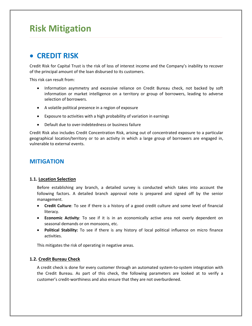## <span id="page-3-0"></span>**Risk Mitigation**

## <span id="page-3-1"></span>**CREDIT RISK**

Credit Risk for Capital Trust is the risk of loss of interest income and the Company's inability to recover of the principal amount of the loan disbursed to its customers.

This risk can result from:

- Information asymmetry and excessive reliance on Credit Bureau check, not backed by soft information or market intelligence on a territory or group of borrowers, leading to adverse selection of borrowers.
- A volatile political presence in a region of exposure
- Exposure to activities with a high probability of variation in earnings
- Default due to over-indebtedness or business failure

Credit Risk also includes Credit Concentration Risk, arising out of concentrated exposure to a particular geographical location/territory or to an activity in which alarge group of borrowers are engaged in, vulnerable to external events.

#### **MITIGATION**

#### **1.1. Location Selection**

Before establishing any branch, a detailed survey is conducted which takes into account the following factors. A detailed branch approval note is prepared and signed off by the senior management.

- **Credit Culture**: To see if there is a history of a good credit culture and some level of financial literacy.
- **Economic Activity**: To see if it is in an economically active area not overly dependent on seasonal demands or on monsoons, etc.
- **Political Stability:** To see if there is any history of local political influence on micro finance activities.

This mitigates the risk of operating in negative areas.

#### **1.2. Credit Bureau Check**

A credit check is done for every customer through an automated system-to-system integration with the Credit Bureau. As part of this check, the following parameters are looked at to verify a customer's credit-worthiness and also ensure that they are not overburdened.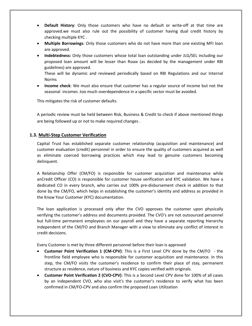- **Default History**: Only those customers who have no default or write-off at that time are approved.we must also rule out the possibility of customer having dual credit history by checking multiple KYC .
- **Multiple Borrowings**: Only those customers who do not have more than one existing MFI loan are approved.
- **Indebtedness:** Only those customers whose total loan outstanding under JLG/SEL including our proposed loan amount will be lesser than Rsxxx (as decided bythe management under RBI guidelines) are approved.

These will be dynamic and reviewed periodically based on RBI Regulations and our Internal Norms

 **Income check**: We must also ensure that customer has a regular source of income but not the seasonal incomes .too much overdependence in a specific sector must be avoided.

This mitigates the risk of customer defaults.

A periodic review must be held between Risk, Business & Credit to check if above mentioned things are being followed up or not to make required changes .

#### **1.3. Multi-Step Customer Verification**

Capital Trust has established separate customer relationship (acquisition and maintenance) and customer evaluation (credit) personnel in order to ensure the quality of customers acquired as well as eliminate coerced borrowing practices which may lead to genuine customers becoming delinquent.

A Relationship Offer (CM/FO) is responsible for customer acquisition and maintenance while anCredit Officer (CO) is responsible for customer house verification and KYC validation. We have a dedicated CO in every branch, who carries out 100% pre-disbursement check in addition to that done by the CM/FO, which helps in establishing the customer's identity and address as provided in the Know Your Customer (KYC) documentation.

The loan application is processed only after the CVO approves the customer upon physically verifying the customer's address and documents provided. The CVO's are not outsourced personnel but full-time permanent employees on our payroll and they have a separate reporting hierarchy independent of the CM/FO and Branch Manager with a view to eliminate any conflict of interest in credit decisions.

Every Customer is met by three different personnel before their loan is approved

- **Customer Point Verification 1 (CM-CPV)**: This is a First Level CPV done by the CM/FO the frontline field employee who is responsible for customer acquisition and maintenance. In this step, the CM/FO visits the customer's residence to confirm their place of stay, permanent structure as residence, nature of business and KYC copies verified with originals.
- **Customer Point Verification 2 (CVO-CPV)**: This is a Second Level CPV done for 100% of all cases by an independent CVO, who also visit's the customer's residence to verify what has been confirmed in CM/FO-CPV and also confirm the proposed Loan Utilization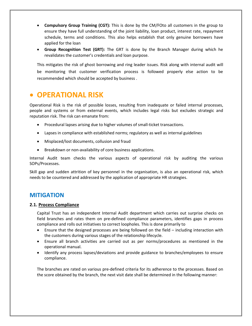- **Compulsory Group Training (CGT):** This is done by the CM/FOto all customers in the group to ensure they have full understanding of the joint liability, loan product, interest rate, repayment schedule, terms and conditions. This also helps establish that only genuine borrowers have applied for the loan
- **Group Recognition Test (GRT):** The GRT is done by the Branch Manager during which he revalidates the customer's credentials and loan purpose.

This mitigates the risk of ghost borrowing and ring leader issues. Risk along with internal audit will be monitoring that customer verification process is followed properly else action to be recommended which should be accepted by business .

### <span id="page-5-0"></span>**OPERATIONAL RISK**

Operational Risk is the risk of possible losses, resulting from inadequate or failed internal processes, people and systems or from external events, which includes legal risks but excludes strategic and reputation risk. The risk can emanate from:

- Procedural lapses arising due to higher volumes of small-ticket transactions.
- Lapses in compliance with established norms; regulatory as well as internal guidelines
- Misplaced/lost documents, collusion and fraud
- Breakdown or non-availability of core business applications.

Internal Audit team checks the various aspects of operational risk by auditing the various SOPs/Processes.

Skill gap and sudden attrition of key personnel in the organisation, is also an operational risk, which needs to be countered and addressed by the application of appropriate HR strategies.

#### **MITIGATION**

#### **2.1. Process Compliance**

Capital Trust has an independent Internal Audit department which carries out surprise checks on field branches and rates them on pre-defined compliance parameters, identifies gaps in process compliance and rolls out initiatives to correct loopholes. This is done primarily to

- Ensure that the designed processes are being followed on the field including interaction with the customers during various stages of the relationship lifecycle.
- Ensure all branch activities are carried out as per norms/procedures as mentioned in the operational manual.
- Identify any process lapses/deviations and provide guidance to branches/employees to ensure compliance.

The branches are rated on various pre-defined criteria for its adherence to the processes. Based on the score obtained by the branch, the next visit date shall be determined in the following manner: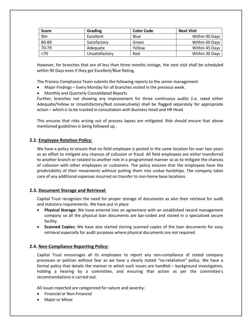| <b>Score</b> | Grading        | <b>Color Code</b> | <b>Next Visit</b> |
|--------------|----------------|-------------------|-------------------|
| $90+$        | Excellent      | Blue              | Within 90 Days    |
| 80-89        | Satisfactory   | Green             | Within 60 Days    |
| 70-79        | Adequate       | Yellow            | Within 45 Days    |
| < 70         | Unsatisfactorv | Red               | Within 30 Days    |

However, for branches that are of less than three months vintage, the next visit shall be scheduled within 90 Days even if they get Excellent/Blue Rating.

The Process Compliance Team submits the following reports to the senior management

- Major Findings Every Monday for all branches visited in the previous week.
- Monthly and Quarterly Consolidated Reports

Further, branches not showing any improvement for three continuous audits (i.e. rated either Adequate/Yellow or Unsatisfactory/Red consecutively) shall be flagged separately for appropriate action – which is to be tracked in consultation with Business Head and HR Head.

This ensures that risks arising out of process lapses are mitigated. Risk should ensure that above mentioned guidelines is being followed up .

#### **2.2. Employee Rotation Policy:**

We have a policy to ensure that no field employee is posted in the same location for over two years as an effort to mitigate any chances of collusion or fraud. All field employees are either transferred to another branch or rotated to another role in a programmed manner so as to mitigate the chances of collusion with other employees or customers. The policy ensures that the employees have the predictability of their movements without putting them into undue hardships. The company takes care of any additional expenses incurred on transfer to non-home base locations.

#### **2.3. Document Storage and Retrieval:**

Capital Trust recognizes the need for proper storage of documents as also their retrieval for audit and statutory requirements. We have put in place

- **Physical Storage:** We have entered into an agreement with an established record management company so all the physical loan documents are bar-coded and stored in aspecialized secure facility.
- **Scanned Copies:** We have also started storing scanned copies of the loan documents for easy retrieval especially for audit purposes where physical documents are not required.

#### **2.4. Non-Compliance Reporting Policy:**

Capital Trust encourages all its employees to report any non-compliance of stated company processes or policies without fear as we have a clearly stated "no-retaliation" policy. We have a formal policy that details the manner in which such issues are handled – background investigation, holding a hearing by a committee, and ensuring that action as per the committee's recommendations is carried out.

All issues reported are categorized for nature and severity:

- Financial or Non-Financial
- Major or Minor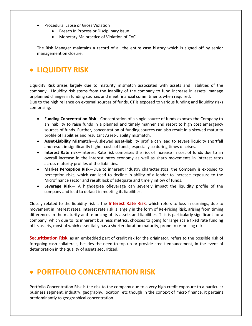- **•** Procedural Lapse or Gross Violation
	- Breach In Process or Disciplinary Issue
	- Monetary Malpractice of Violation of CoC

The Risk Manager maintains a record of all the entire case history which is signed off by senior management on closure.

## <span id="page-7-0"></span>**LIQUIDITY RISK**

Liquidity Risk arises largely due to maturity mismatch associated with assets and liabilities of the company. Liquidity risk stems from the inability of the company to fund increase in assets, manage unplanned changes in funding sources and meet financial commitments when required.

Due to the high reliance on external sources of funds, CT is exposed to various funding and liquidity risks comprising:

- **Funding Concentration Risk**—Concentration of a single source of funds exposes the Company to an inability to raise funds in a planned and timely manner and resort to high cost emergency sources of funds. Further, concentration of funding sources can also result in a skewed maturity profile of liabilities and resultant Asset-Liability mismatch.
- **Asset-Liability Mismatch**—A skewed asset-liability profile can lead to severe liquidity shortfall and result in significantly higher costs of funds; especially so during times of crises.
- **Interest Rate risk**—Interest Rate risk comprises the risk of increase in costof funds due to an overall increase in the interest rates economy as well as sharp movements in interest rates across maturity profiles of the liabilities.
- **Market Perception Risk**—Due to inherent industry characteristics, the Company is exposed to perception risks, which can lead to decline in ability of a lender to increase exposure to the Microfinance sector and result lack of adequate and timely inflow of funds.
- **Leverage Risk—** A highdegree ofleverage can severely impact the liquidity profile of the company and lead to default in meeting its liabilities.

Closely related to the liquidity risk is the **Interest Rate Risk**, which refers to loss in earnings, due to movement in interest rates. Interest rate risk is largely in the form of Re-Pricing Risk, arising from timing differences in the maturity and re-pricing of its assets and liabilities. This is particularly significant for a company, which due to its inherent business metrics, chooses to going for large scale fixed rate funding of its assets, most of which essentially has a shorter duration maturity, prone to re-pricing risk.

**Securitisation Risk**, as an embedded part of credit risk for the originator, refers to the possible risk of foregoing cash collaterals, besides the need to top up or provide credit enhancement, in the event of deterioration in the quality of assets securitized.

## <span id="page-7-1"></span>**PORTFOLIO CONCENTRATION RISK**

Portfolio Concentration Risk is the risk to the company due to a very high credit exposure to a particular business segment, industry, geography, location, etc though in the context of micro finance, it pertains predominantly to geographical concentration.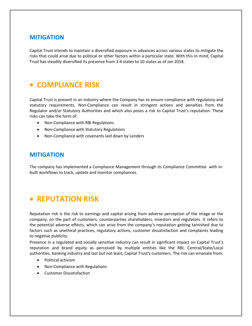#### **MITIGATION**

Capital Trust intends to maintain a diversified exposure in advances across various states to mitigate the risks that could arise due to political or other factors within a particular state. With this in mind, Capital Trust has steadily diversified its presence from 3-4 states to 10 states as of Jan 2018.

### <span id="page-8-0"></span>**COMPLIANCE RISK**

Capital Trust is present in an industry where the Company has to ensure compliance with regulatory and statutory requirements. Non-Compliance can result in stringent actions and penalties from the Regulator and/or Statutory Authorities and which also poses a risk to Capital Trust's reputation. These risks can take the form of:

- Non-Compliance with RBI Regulations
- Non-Compliance with Statutory Regulations
- Non-Compliance with covenants laid down by Lenders

#### **MITIGATION**

The company has implemented a Compliance Management through its Compliance Committee with in built workflows to track, update and monitor compliances.

### <span id="page-8-1"></span>**REPUTATION RISK**

Reputation risk is the risk to earnings and capital arising from adverse perception of the image or the company, on the part of customers, counterparties shareholders, investors and regulators. It refers to the potential adverse effects, which can arise from the company's reputation getting tarnished due to factors such as unethical practices, regulatory actions, customer dissatisfaction and complaints leading to negative publicity.

Presence in a regulated and socially sensitive industry can result in significant impact on Capital Trust's reputation and brand equity as perceived by multiple entities like the RBI, Central/State/Local authorities, banking industry and last but not least, Capital Trust's customers. The risk can emanate from:

- Political activism
- Non-Compliance with Regulations
- Customer Dissatisfaction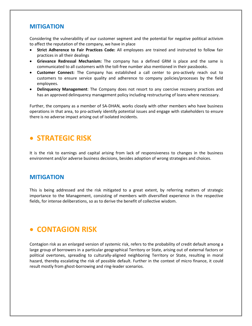#### **MITIGATION**

Considering the vulnerability of our customer segment and the potential for negative political activism to affect the reputation of the company, we have in place

- **Strict Adherence to Fair Practices Code:** All employees are trained and instructed to follow fair practices in all their dealings
- **Grievance Redressal Mechanism:** The company has a defined GRM is place and the same is communicated to all customers with the toll-free number also mentioned in their passbooks.
- **Customer Connect:** The Company has established a call center to pro-actively reach out to customers to ensure service quality and adherence to company policies/processes by the field employees.
- **Delinquency Management**: The Company does not resort to any coercive recovery practices and has an approved delinquency management policy including restructuring of loans where necessary.

Further, the company as a member of SA-DHAN, works closely with other members who have business operations in that area, to pro-actively identify potential issues and engage with stakeholders to ensure there is no adverse impact arising out of isolated incidents.

### <span id="page-9-0"></span>**STRATEGIC RISK**

It is the risk to earnings and capital arising from lack of responsiveness to changes in the business environment and/or adverse business decisions, besides adoption of wrong strategies and choices.

#### **MITIGATION**

This is being addressed and the risk mitigated to agreat extent, by referring matters of strategic importance to the Management, consisting of members with diversified experience in the respective fields, for intense deliberations, so as to derive the benefit of collective wisdom.

## <span id="page-9-1"></span>**CONTAGION RISK**

Contagion risk as an enlarged version of systemic risk, refers to the probability of credit default among a large group of borrowers in a particular geographical Territory or State, arising out of external factors or political overtones, spreading to culturally-aligned neighboring Territory or State, resulting in moral hazard, thereby escalating the risk of possible default. Further in the context of micro finance, it could result mostly from ghost-borrowing and ring-leader scenarios.